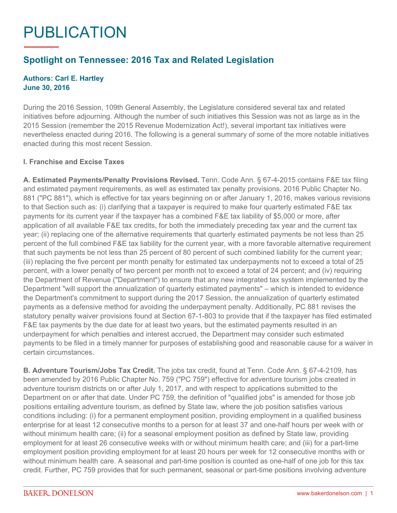# PUBLICATION

# **Spotlight on Tennessee: 2016 Tax and Related Legislation**

## **Authors: Carl E. Hartley June 30, 2016**

During the 2016 Session, 109th General Assembly, the Legislature considered several tax and related initiatives before adjourning. Although the number of such initiatives this Session was not as large as in the 2015 Session (remember the 2015 Revenue Modernization Act!), several important tax initiatives were nevertheless enacted during 2016. The following is a general summary of some of the more notable initiatives enacted during this most recent Session.

## **I. Franchise and Excise Taxes**

**A. Estimated Payments/Penalty Provisions Revised.** Tenn. Code Ann. § 67-4-2015 contains F&E tax filing and estimated payment requirements, as well as estimated tax penalty provisions. 2016 Public Chapter No. 881 ("PC 881"), which is effective for tax years beginning on or after January 1, 2016, makes various revisions to that Section such as: (i) clarifying that a taxpayer is required to make four quarterly estimated F&E tax payments for its current year if the taxpayer has a combined F&E tax liability of \$5,000 or more, after application of all available F&E tax credits, for both the immediately preceding tax year and the current tax year; (ii) replacing one of the alternative requirements that quarterly estimated payments be not less than 25 percent of the full combined F&E tax liability for the current year, with a more favorable alternative requirement that such payments be not less than 25 percent of 80 percent of such combined liability for the current year; (iii) replacing the five percent per month penalty for estimated tax underpayments not to exceed a total of 25 percent, with a lower penalty of two percent per month not to exceed a total of 24 percent; and (iv) requiring the Department of Revenue ("Department") to ensure that any new integrated tax system implemented by the Department "will support the annualization of quarterly estimated payments" – which is intended to evidence the Department's commitment to support during the 2017 Session, the annualization of quarterly estimated payments as a defensive method for avoiding the underpayment penalty. Additionally, PC 881 revises the statutory penalty waiver provisions found at Section 67-1-803 to provide that if the taxpayer has filed estimated F&E tax payments by the due date for at least two years, but the estimated payments resulted in an underpayment for which penalties and interest accrued, the Department may consider such estimated payments to be filed in a timely manner for purposes of establishing good and reasonable cause for a waiver in certain circumstances.

**B. Adventure Tourism/Jobs Tax Credit.** The jobs tax credit, found at Tenn. Code Ann. § 67-4-2109, has been amended by 2016 Public Chapter No. 759 ("PC 759") effective for adventure tourism jobs created in adventure tourism districts on or after July 1, 2017, and with respect to applications submitted to the Department on or after that date. Under PC 759, the definition of "qualified jobs" is amended for those job positions entailing adventure tourism, as defined by State law, where the job position satisfies various conditions including: (i) for a permanent employment position, providing employment in a qualified business enterprise for at least 12 consecutive months to a person for at least 37 and one-half hours per week with or without minimum health care; (ii) for a seasonal employment position as defined by State law, providing employment for at least 26 consecutive weeks with or without minimum health care; and (iii) for a part-time employment position providing employment for at least 20 hours per week for 12 consecutive months with or without minimum health care. A seasonal and part-time position is counted as one-half of one job for this tax credit. Further, PC 759 provides that for such permanent, seasonal or part-time positions involving adventure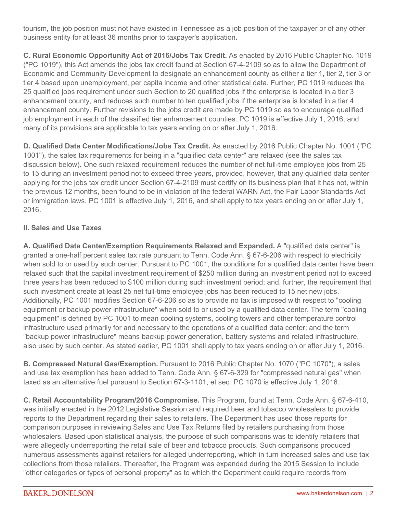tourism, the job position must not have existed in Tennessee as a job position of the taxpayer or of any other business entity for at least 36 months prior to taxpayer's application.

**C. Rural Economic Opportunity Act of 2016/Jobs Tax Credit.** As enacted by 2016 Public Chapter No. 1019 ("PC 1019"), this Act amends the jobs tax credit found at Section 67-4-2109 so as to allow the Department of Economic and Community Development to designate an enhancement county as either a tier 1, tier 2, tier 3 or tier 4 based upon unemployment, per capita income and other statistical data. Further, PC 1019 reduces the 25 qualified jobs requirement under such Section to 20 qualified jobs if the enterprise is located in a tier 3 enhancement county, and reduces such number to ten qualified jobs if the enterprise is located in a tier 4 enhancement county. Further revisions to the jobs credit are made by PC 1019 so as to encourage qualified job employment in each of the classified tier enhancement counties. PC 1019 is effective July 1, 2016, and many of its provisions are applicable to tax years ending on or after July 1, 2016.

**D. Qualified Data Center Modifications/Jobs Tax Credit.** As enacted by 2016 Public Chapter No. 1001 ("PC 1001"), the sales tax requirements for being in a "qualified data center" are relaxed (see the sales tax discussion below). One such relaxed requirement reduces the number of net full-time employee jobs from 25 to 15 during an investment period not to exceed three years, provided, however, that any qualified data center applying for the jobs tax credit under Section 67-4-2109 must certify on its business plan that it has not, within the previous 12 months, been found to be in violation of the federal WARN Act, the Fair Labor Standards Act or immigration laws. PC 1001 is effective July 1, 2016, and shall apply to tax years ending on or after July 1, 2016.

# **II. Sales and Use Taxes**

**A. Qualified Data Center/Exemption Requirements Relaxed and Expanded.** A "qualified data center" is granted a one-half percent sales tax rate pursuant to Tenn. Code Ann. § 67-6-206 with respect to electricity when sold to or used by such center. Pursuant to PC 1001, the conditions for a qualified data center have been relaxed such that the capital investment requirement of \$250 million during an investment period not to exceed three years has been reduced to \$100 million during such investment period; and, further, the requirement that such investment create at least 25 net full-time employee jobs has been reduced to 15 net new jobs. Additionally, PC 1001 modifies Section 67-6-206 so as to provide no tax is imposed with respect to "cooling equipment or backup power infrastructure" when sold to or used by a qualified data center. The term "cooling equipment" is defined by PC 1001 to mean cooling systems, cooling towers and other temperature control infrastructure used primarily for and necessary to the operations of a qualified data center; and the term "backup power infrastructure" means backup power generation, battery systems and related infrastructure, also used by such center. As stated earlier, PC 1001 shall apply to tax years ending on or after July 1, 2016.

**B. Compressed Natural Gas/Exemption.** Pursuant to 2016 Public Chapter No. 1070 ("PC 1070"), a sales and use tax exemption has been added to Tenn. Code Ann. § 67-6-329 for "compressed natural gas" when taxed as an alternative fuel pursuant to Section 67-3-1101, et seq. PC 1070 is effective July 1, 2016.

**C. Retail Accountability Program/2016 Compromise.** This Program, found at Tenn. Code Ann. § 67-6-410, was initially enacted in the 2012 Legislative Session and required beer and tobacco wholesalers to provide reports to the Department regarding their sales to retailers. The Department has used those reports for comparison purposes in reviewing Sales and Use Tax Returns filed by retailers purchasing from those wholesalers. Based upon statistical analysis, the purpose of such comparisons was to identify retailers that were allegedly underreporting the retail sale of beer and tobacco products. Such comparisons produced numerous assessments against retailers for alleged underreporting, which in turn increased sales and use tax collections from those retailers. Thereafter, the Program was expanded during the 2015 Session to include "other categories or types of personal property" as to which the Department could require records from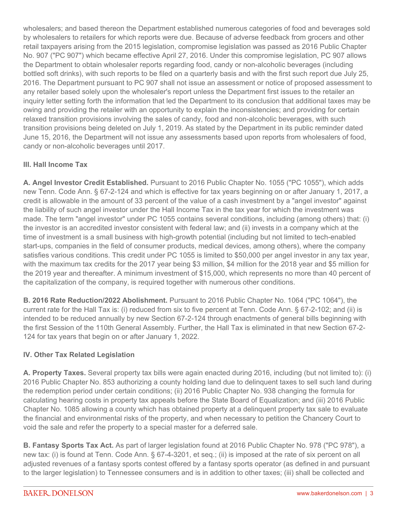wholesalers; and based thereon the Department established numerous categories of food and beverages sold by wholesalers to retailers for which reports were due. Because of adverse feedback from grocers and other retail taxpayers arising from the 2015 legislation, compromise legislation was passed as 2016 Public Chapter No. 907 ("PC 907") which became effective April 27, 2016. Under this compromise legislation, PC 907 allows the Department to obtain wholesaler reports regarding food, candy or non-alcoholic beverages (including bottled soft drinks), with such reports to be filed on a quarterly basis and with the first such report due July 25, 2016. The Department pursuant to PC 907 shall not issue an assessment or notice of proposed assessment to any retailer based solely upon the wholesaler's report unless the Department first issues to the retailer an inquiry letter setting forth the information that led the Department to its conclusion that additional taxes may be owing and providing the retailer with an opportunity to explain the inconsistencies; and providing for certain relaxed transition provisions involving the sales of candy, food and non-alcoholic beverages, with such transition provisions being deleted on July 1, 2019. As stated by the Department in its public reminder dated June 15, 2016, the Department will not issue any assessments based upon reports from wholesalers of food, candy or non-alcoholic beverages until 2017.

# **III. Hall Income Tax**

**A. Angel Investor Credit Established.** Pursuant to 2016 Public Chapter No. 1055 ("PC 1055"), which adds new Tenn. Code Ann. § 67-2-124 and which is effective for tax years beginning on or after January 1, 2017, a credit is allowable in the amount of 33 percent of the value of a cash investment by a "angel investor" against the liability of such angel investor under the Hall Income Tax in the tax year for which the investment was made. The term "angel investor" under PC 1055 contains several conditions, including (among others) that: (i) the investor is an accredited investor consistent with federal law; and (ii) invests in a company which at the time of investment is a small business with high-growth potential (including but not limited to tech-enabled start-ups, companies in the field of consumer products, medical devices, among others), where the company satisfies various conditions. This credit under PC 1055 is limited to \$50,000 per angel investor in any tax year, with the maximum tax credits for the 2017 year being \$3 million, \$4 million for the 2018 year and \$5 million for the 2019 year and thereafter. A minimum investment of \$15,000, which represents no more than 40 percent of the capitalization of the company, is required together with numerous other conditions.

**B. 2016 Rate Reduction/2022 Abolishment.** Pursuant to 2016 Public Chapter No. 1064 ("PC 1064"), the current rate for the Hall Tax is: (i) reduced from six to five percent at Tenn. Code Ann. § 67-2-102; and (ii) is intended to be reduced annually by new Section 67-2-124 through enactments of general bills beginning with the first Session of the 110th General Assembly. Further, the Hall Tax is eliminated in that new Section 67-2- 124 for tax years that begin on or after January 1, 2022.

## **IV. Other Tax Related Legislation**

**A. Property Taxes.** Several property tax bills were again enacted during 2016, including (but not limited to): (i) 2016 Public Chapter No. 853 authorizing a county holding land due to delinquent taxes to sell such land during the redemption period under certain conditions; (ii) 2016 Public Chapter No. 938 changing the formula for calculating hearing costs in property tax appeals before the State Board of Equalization; and (iii) 2016 Public Chapter No. 1085 allowing a county which has obtained property at a delinquent property tax sale to evaluate the financial and environmental risks of the property, and when necessary to petition the Chancery Court to void the sale and refer the property to a special master for a deferred sale.

**B. Fantasy Sports Tax Act.** As part of larger legislation found at 2016 Public Chapter No. 978 ("PC 978"), a new tax: (i) is found at Tenn. Code Ann. § 67-4-3201, et seq.; (ii) is imposed at the rate of six percent on all adjusted revenues of a fantasy sports contest offered by a fantasy sports operator (as defined in and pursuant to the larger legislation) to Tennessee consumers and is in addition to other taxes; (iii) shall be collected and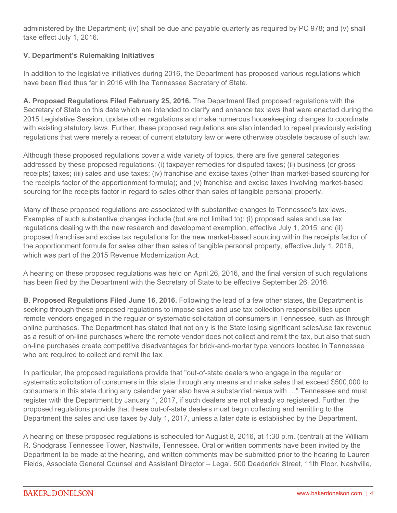administered by the Department; (iv) shall be due and payable quarterly as required by PC 978; and (v) shall take effect July 1, 2016.

# **V. Department's Rulemaking Initiatives**

In addition to the legislative initiatives during 2016, the Department has proposed various regulations which have been filed thus far in 2016 with the Tennessee Secretary of State.

**A. Proposed Regulations Filed February 25, 2016.** The Department filed proposed regulations with the Secretary of State on this date which are intended to clarify and enhance tax laws that were enacted during the 2015 Legislative Session, update other regulations and make numerous housekeeping changes to coordinate with existing statutory laws. Further, these proposed regulations are also intended to repeal previously existing regulations that were merely a repeat of current statutory law or were otherwise obsolete because of such law.

Although these proposed regulations cover a wide variety of topics, there are five general categories addressed by these proposed regulations: (i) taxpayer remedies for disputed taxes; (ii) business (or gross receipts) taxes; (iii) sales and use taxes; (iv) franchise and excise taxes (other than market-based sourcing for the receipts factor of the apportionment formula); and (v) franchise and excise taxes involving market-based sourcing for the receipts factor in regard to sales other than sales of tangible personal property.

Many of these proposed regulations are associated with substantive changes to Tennessee's tax laws. Examples of such substantive changes include (but are not limited to): (i) proposed sales and use tax regulations dealing with the new research and development exemption, effective July 1, 2015; and (ii) proposed franchise and excise tax regulations for the new market-based sourcing within the receipts factor of the apportionment formula for sales other than sales of tangible personal property, effective July 1, 2016, which was part of the 2015 Revenue Modernization Act.

A hearing on these proposed regulations was held on April 26, 2016, and the final version of such regulations has been filed by the Department with the Secretary of State to be effective September 26, 2016.

**B. Proposed Regulations Filed June 16, 2016.** Following the lead of a few other states, the Department is seeking through these proposed regulations to impose sales and use tax collection responsibilities upon remote vendors engaged in the regular or systematic solicitation of consumers in Tennessee, such as through online purchases. The Department has stated that not only is the State losing significant sales/use tax revenue as a result of on-line purchases where the remote vendor does not collect and remit the tax, but also that such on-line purchases create competitive disadvantages for brick-and-mortar type vendors located in Tennessee who are required to collect and remit the tax.

In particular, the proposed regulations provide that "out-of-state dealers who engage in the regular or systematic solicitation of consumers in this state through any means and make sales that exceed \$500,000 to consumers in this state during any calendar year also have a substantial nexus with …" Tennessee and must register with the Department by January 1, 2017, if such dealers are not already so registered. Further, the proposed regulations provide that these out-of-state dealers must begin collecting and remitting to the Department the sales and use taxes by July 1, 2017, unless a later date is established by the Department.

A hearing on these proposed regulations is scheduled for August 8, 2016, at 1:30 p.m. (central) at the William R. Snodgrass Tennessee Tower, Nashville, Tennessee. Oral or written comments have been invited by the Department to be made at the hearing, and written comments may be submitted prior to the hearing to Lauren Fields, Associate General Counsel and Assistant Director – Legal, 500 Deaderick Street, 11th Floor, Nashville,